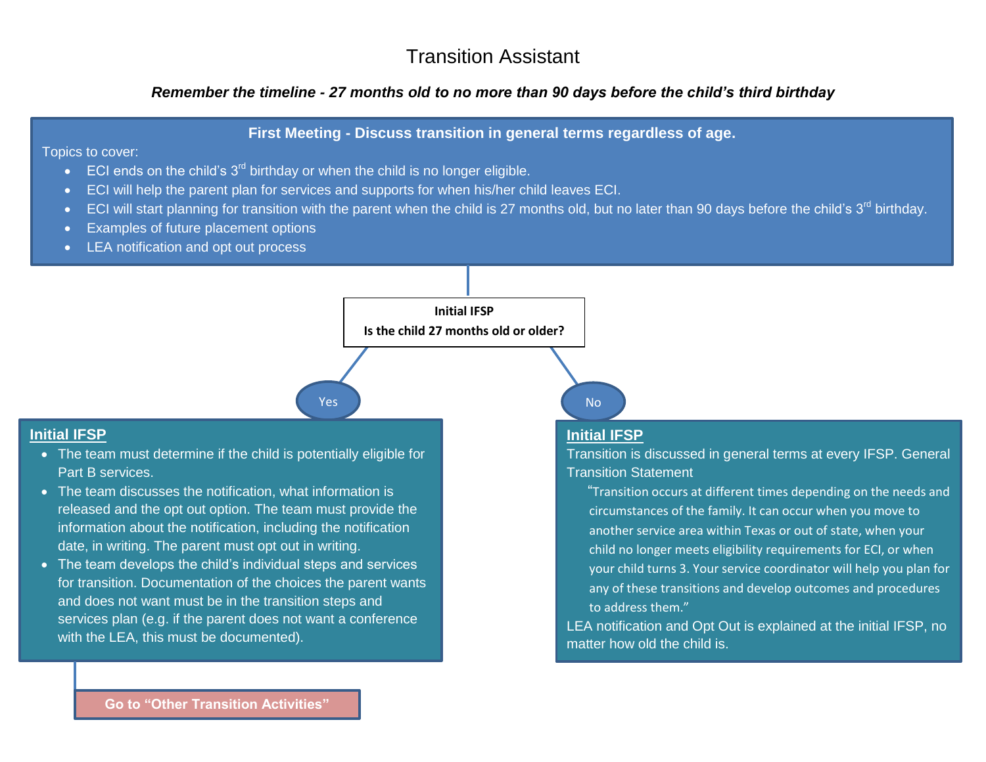## Transition Assistant

## *Remember the timeline - 27 months old to no more than 90 days before the child's third birthday*

## **First Meeting - Discuss transition in general terms regardless of age.**

#### Topics to cover:

- ECI ends on the child's  $3^{rd}$  birthday or when the child is no longer eligible.
- ECI will help the parent plan for services and supports for when his/her child leaves ECI.
- ECI will start planning for transition with the parent when the child is 27 months old, but no later than 90 days before the child's  $3<sup>rd</sup>$  birthday.
- Examples of future placement options
- **LEA notification and opt out process**

#### **Initial IFSP**

**Is the child 27 months old or older?**

## Yes No. 2012 and the No. 2012 and No. 2012 and No. 2012 and No. 2012 and No. 2012 and No. 2012 and No. 2013 an

## **Initial IFSP**

- The team must determine if the child is potentially eligible for Part B services.
- The team discusses the notification, what information is released and the opt out option. The team must provide the information about the notification, including the notification date, in writing. The parent must opt out in writing.
- The team develops the child's individual steps and services for transition. Documentation of the choices the parent wants and does not want must be in the transition steps and services plan (e.g. if the parent does not want a conference with the LEA, this must be documented).

## **Initial IFSP**

Transition is discussed in general terms at every IFSP. General Transition Statement

"Transition occurs at different times depending on the needs and circumstances of the family. It can occur when you move to another service area within Texas or out of state, when your child no longer meets eligibility requirements for ECI, or when your child turns 3. Your service coordinator will help you plan for any of these transitions and develop outcomes and procedures to address them."

LEA notification and Opt Out is explained at the initial IFSP, no matter how old the child is.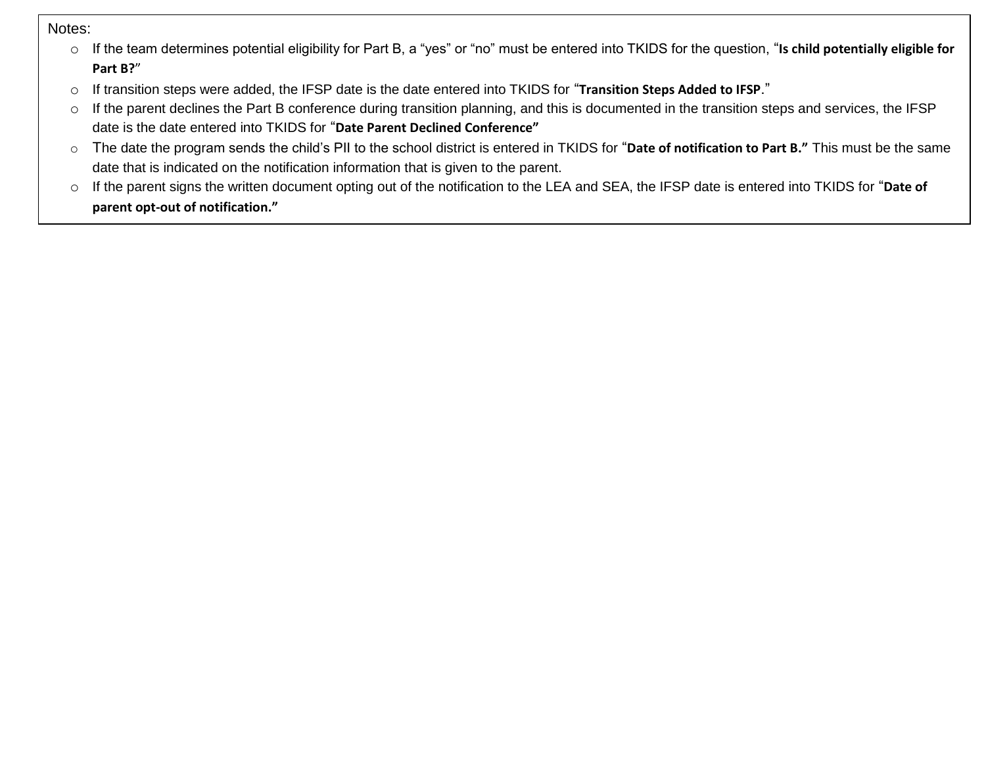Notes:

- o If the team determines potential eligibility for Part B, a "yes" or "no" must be entered into TKIDS for the question, "**Is child potentially eligible for Part B?**"
- o If transition steps were added, the IFSP date is the date entered into TKIDS for "**Transition Steps Added to IFSP**."
- o If the parent declines the Part B conference during transition planning, and this is documented in the transition steps and services, the IFSP date is the date entered into TKIDS for "**Date Parent Declined Conference"**
- o The date the program sends the child's PII to the school district is entered in TKIDS for "**Date of notification to Part B."** This must be the same date that is indicated on the notification information that is given to the parent.
- o If the parent signs the written document opting out of the notification to the LEA and SEA, the IFSP date is entered into TKIDS for "**Date of parent opt-out of notification."**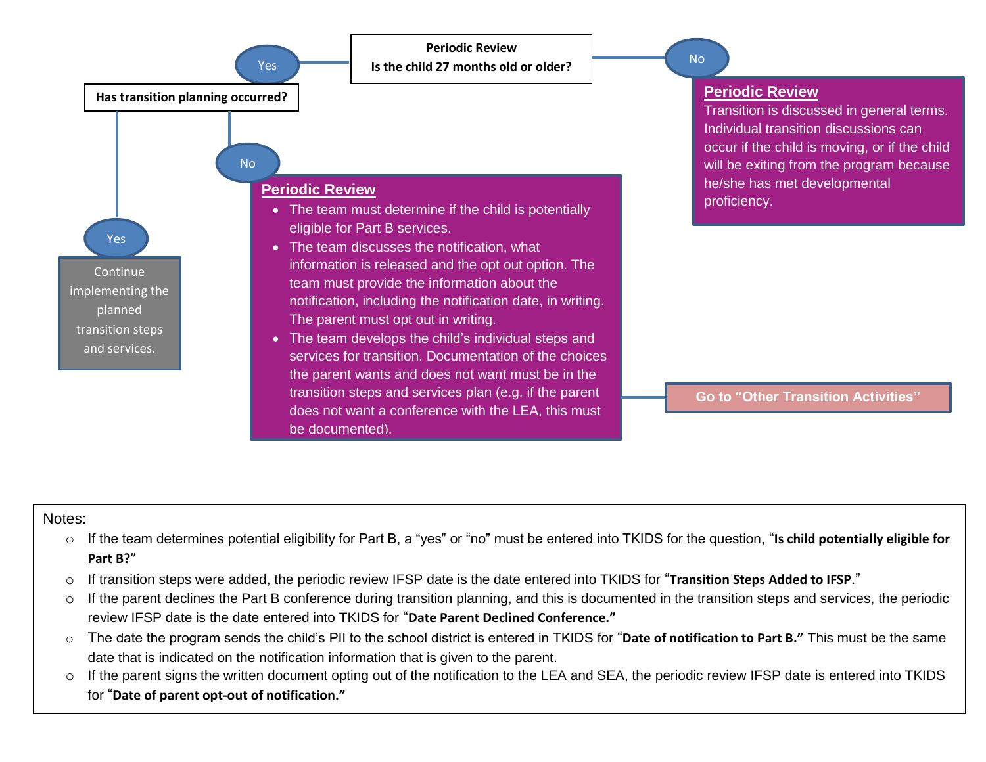

#### Notes:

- o If the team determines potential eligibility for Part B, a "yes" or "no" must be entered into TKIDS for the question, "**Is child potentially eligible for Part B?**"
- o If transition steps were added, the periodic review IFSP date is the date entered into TKIDS for "**Transition Steps Added to IFSP**."
- $\circ$  If the parent declines the Part B conference during transition planning, and this is documented in the transition steps and services, the periodic review IFSP date is the date entered into TKIDS for "**Date Parent Declined Conference."**
- o The date the program sends the child's PII to the school district is entered in TKIDS for "**Date of notification to Part B."** This must be the same date that is indicated on the notification information that is given to the parent.
- o If the parent signs the written document opting out of the notification to the LEA and SEA, the periodic review IFSP date is entered into TKIDS for "**Date of parent opt-out of notification."**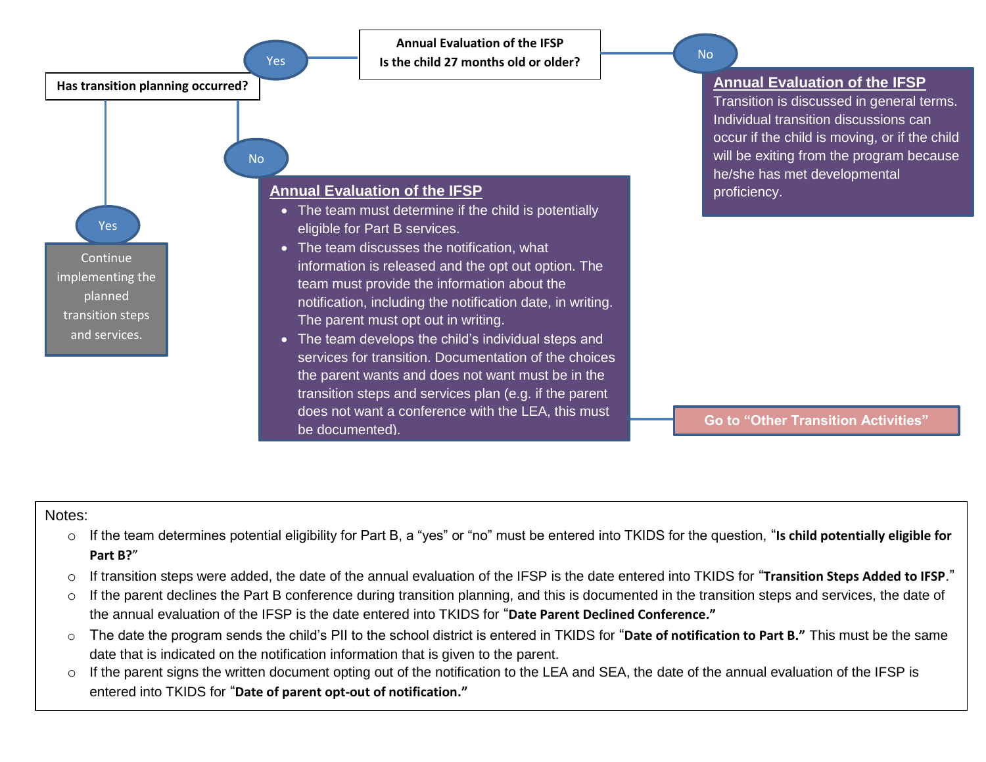

#### Notes:

- o If the team determines potential eligibility for Part B, a "yes" or "no" must be entered into TKIDS for the question, "**Is child potentially eligible for Part B?**"
- o If transition steps were added, the date of the annual evaluation of the IFSP is the date entered into TKIDS for "**Transition Steps Added to IFSP**."
- o If the parent declines the Part B conference during transition planning, and this is documented in the transition steps and services, the date of the annual evaluation of the IFSP is the date entered into TKIDS for "**Date Parent Declined Conference."**
- o The date the program sends the child's PII to the school district is entered in TKIDS for "**Date of notification to Part B."** This must be the same date that is indicated on the notification information that is given to the parent.
- o If the parent signs the written document opting out of the notification to the LEA and SEA, the date of the annual evaluation of the IFSP is entered into TKIDS for "**Date of parent opt-out of notification."**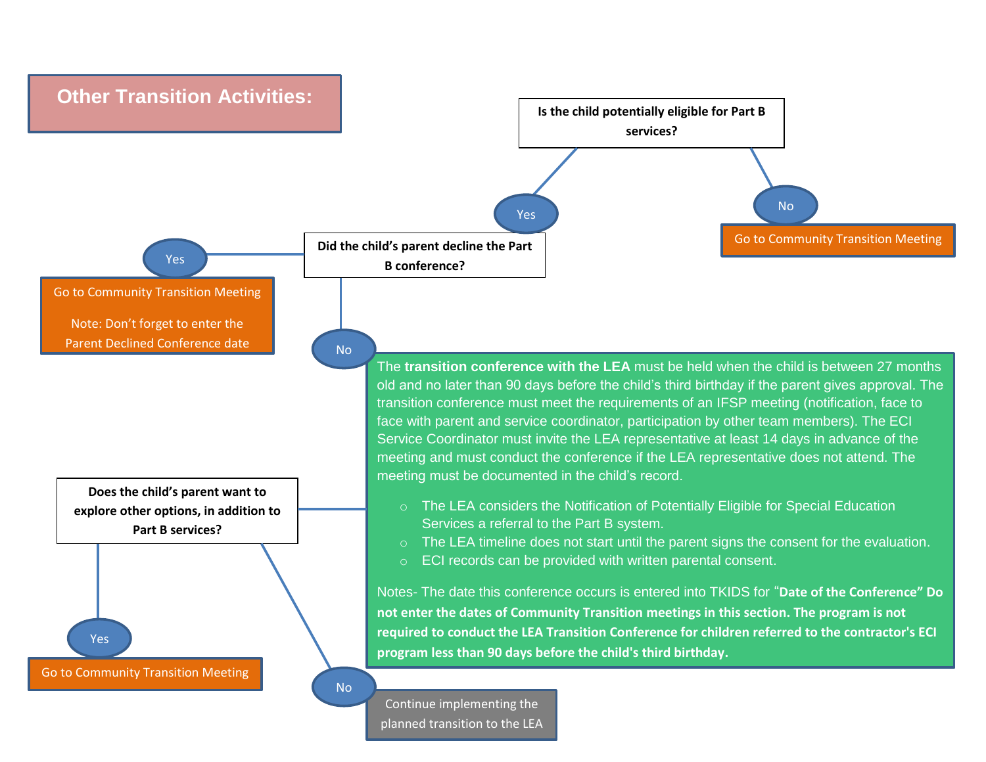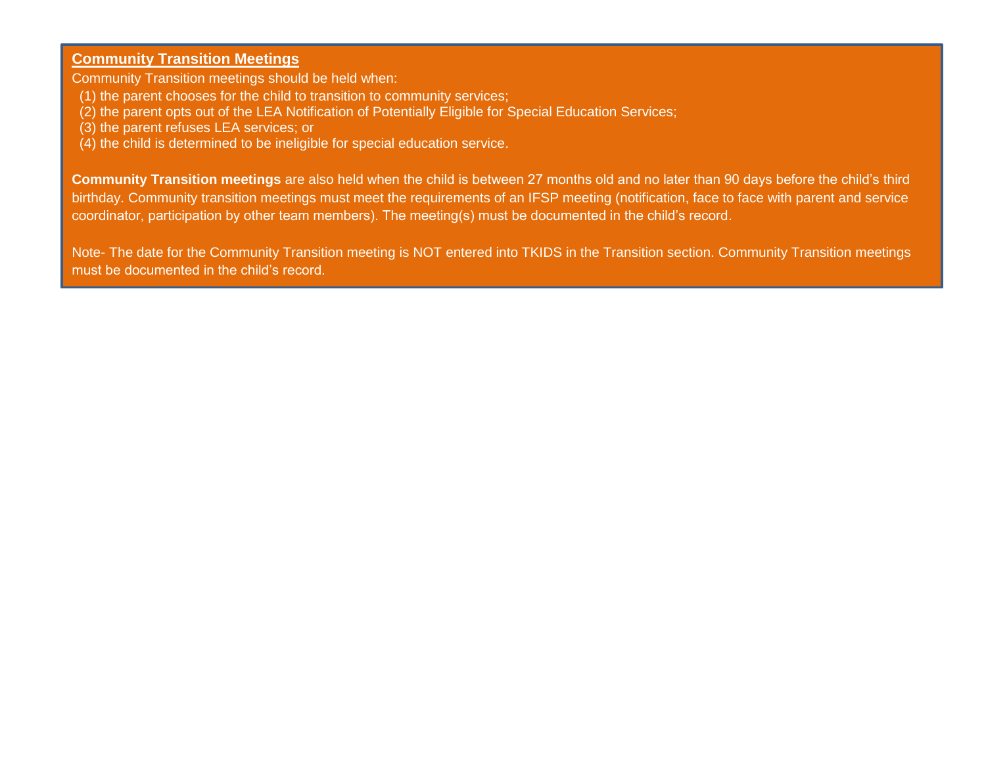## **Community Transition Meetings**

Community Transition meetings should be held when:

- (1) the parent chooses for the child to transition to community services;
- (2) the parent opts out of the LEA Notification of Potentially Eligible for Special Education Services;
- (3) the parent refuses LEA services; or
- (4) the child is determined to be ineligible for special education service.

**Community Transition meetings** are also held when the child is between 27 months old and no later than 90 days before the child's third birthday. Community transition meetings must meet the requirements of an IFSP meeting (notification, face to face with parent and service coordinator, participation by other team members). The meeting(s) must be documented in the child's record.

Note- The date for the Community Transition meeting is NOT entered into TKIDS in the Transition section. Community Transition meetings must be documented in the child's record.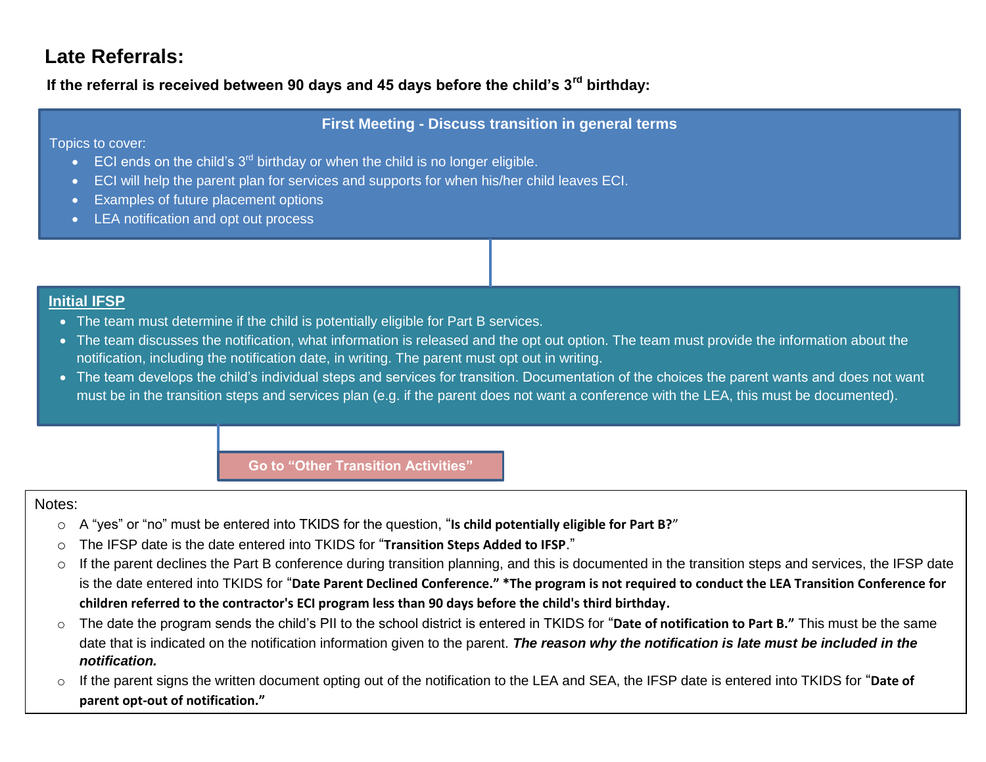# **Late Referrals:**

**If the referral is received between 90 days and 45 days before the child's 3rd birthday:**

## **First Meeting - Discuss transition in general terms**

Topics to cover:

- $\bullet$  ECI ends on the child's  $3^{rd}$  birthday or when the child is no longer eligible.
- ECI will help the parent plan for services and supports for when his/her child leaves ECI.
- **Examples of future placement options**
- LEA notification and opt out process

## **Initial IFSP**

- The team must determine if the child is potentially eligible for Part B services.
- The team discusses the notification, what information is released and the opt out option. The team must provide the information about the notification, including the notification date, in writing. The parent must opt out in writing.
- The team develops the child's individual steps and services for transition. Documentation of the choices the parent wants and does not want must be in the transition steps and services plan (e.g. if the parent does not want a conference with the LEA, this must be documented).

**Go to "Other Transition Activities"**

## Notes:

- o A "yes" or "no" must be entered into TKIDS for the question, "**Is child potentially eligible for Part B?**"
- o The IFSP date is the date entered into TKIDS for "**Transition Steps Added to IFSP**."
- o If the parent declines the Part B conference during transition planning, and this is documented in the transition steps and services, the IFSP date is the date entered into TKIDS for "**Date Parent Declined Conference." \*The program is not required to conduct the LEA Transition Conference for children referred to the contractor's ECI program less than 90 days before the child's third birthday.**
- o The date the program sends the child's PII to the school district is entered in TKIDS for "**Date of notification to Part B."** This must be the same date that is indicated on the notification information given to the parent. *The reason why the notification is late must be included in the notification.*
- o If the parent signs the written document opting out of the notification to the LEA and SEA, the IFSP date is entered into TKIDS for "**Date of parent opt-out of notification."**